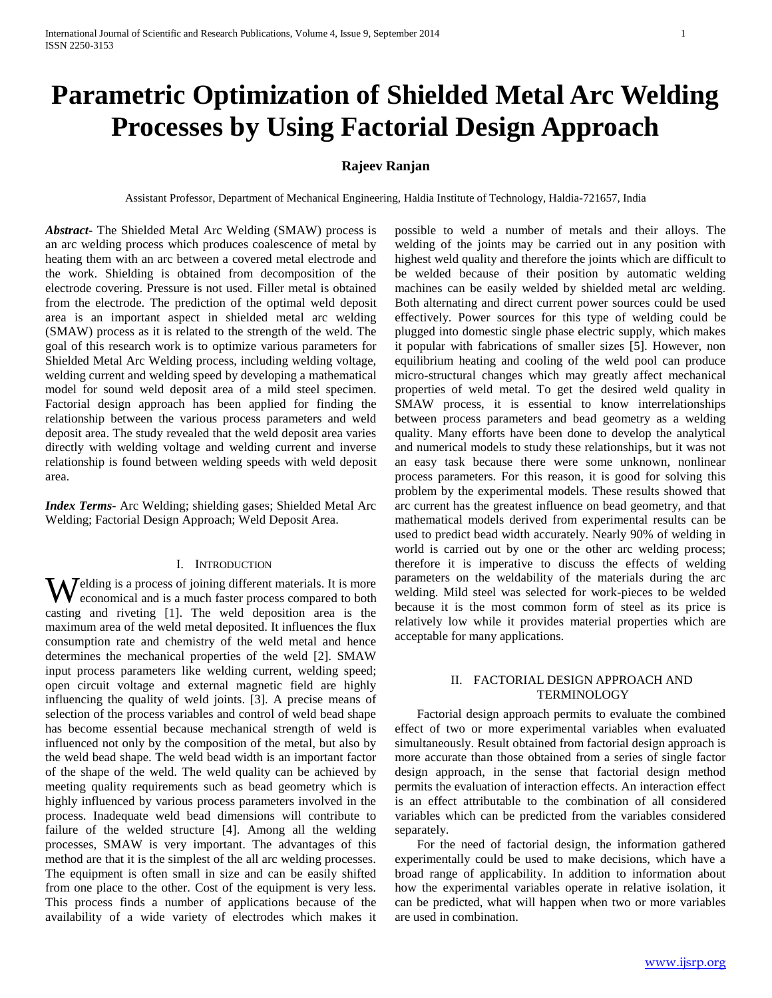# **Parametric Optimization of Shielded Metal Arc Welding Processes by Using Factorial Design Approach**

## **Rajeev Ranjan**

Assistant Professor, Department of Mechanical Engineering, Haldia Institute of Technology, Haldia-721657, India

*Abstract***-** The Shielded Metal Arc Welding (SMAW) process is an arc welding process which produces coalescence of metal by heating them with an arc between a covered metal electrode and the work. Shielding is obtained from decomposition of the electrode covering. Pressure is not used. Filler metal is obtained from the electrode. The prediction of the optimal weld deposit area is an important aspect in shielded metal arc welding (SMAW) process as it is related to the strength of the weld. The goal of this research work is to optimize various parameters for Shielded Metal Arc Welding process, including welding voltage, welding current and welding speed by developing a mathematical model for sound weld deposit area of a mild steel specimen. Factorial design approach has been applied for finding the relationship between the various process parameters and weld deposit area. The study revealed that the weld deposit area varies directly with welding voltage and welding current and inverse relationship is found between welding speeds with weld deposit area.

*Index Terms*- Arc Welding; shielding gases; Shielded Metal Arc Welding; Factorial Design Approach; Weld Deposit Area.

## I. INTRODUCTION

Welding is a process of joining different materials. It is more economical and is a much faster process compared to both economical and is a much faster process compared to both casting and riveting [1]. The weld deposition area is the maximum area of the weld metal deposited. It influences the flux consumption rate and chemistry of the weld metal and hence determines the mechanical properties of the weld [2]. SMAW input process parameters like welding current, welding speed; open circuit voltage and external magnetic field are highly influencing the quality of weld joints. [3]. A precise means of selection of the process variables and control of weld bead shape has become essential because mechanical strength of weld is influenced not only by the composition of the metal, but also by the weld bead shape. The weld bead width is an important factor of the shape of the weld. The weld quality can be achieved by meeting quality requirements such as bead geometry which is highly influenced by various process parameters involved in the process. Inadequate weld bead dimensions will contribute to failure of the welded structure [4]. Among all the welding processes, SMAW is very important. The advantages of this method are that it is the simplest of the all arc welding processes. The equipment is often small in size and can be easily shifted from one place to the other. Cost of the equipment is very less. This process finds a number of applications because of the availability of a wide variety of electrodes which makes it possible to weld a number of metals and their alloys. The welding of the joints may be carried out in any position with highest weld quality and therefore the joints which are difficult to be welded because of their position by automatic welding machines can be easily welded by shielded metal arc welding. Both alternating and direct current power sources could be used effectively. Power sources for this type of welding could be plugged into domestic single phase electric supply, which makes it popular with fabrications of smaller sizes [5]. However, non equilibrium heating and cooling of the weld pool can produce micro-structural changes which may greatly affect mechanical properties of weld metal. To get the desired weld quality in SMAW process, it is essential to know interrelationships between process parameters and bead geometry as a welding quality. Many efforts have been done to develop the analytical and numerical models to study these relationships, but it was not an easy task because there were some unknown, nonlinear process parameters. For this reason, it is good for solving this problem by the experimental models. These results showed that arc current has the greatest influence on bead geometry, and that mathematical models derived from experimental results can be used to predict bead width accurately. Nearly 90% of welding in world is carried out by one or the other arc welding process; therefore it is imperative to discuss the effects of welding parameters on the weldability of the materials during the arc welding. Mild steel was selected for work-pieces to be welded because it is the most common form of steel as its price is relatively low while it provides material properties which are acceptable for many applications.

### II. FACTORIAL DESIGN APPROACH AND **TERMINOLOGY**

 Factorial design approach permits to evaluate the combined effect of two or more experimental variables when evaluated simultaneously. Result obtained from factorial design approach is more accurate than those obtained from a series of single factor design approach, in the sense that factorial design method permits the evaluation of interaction effects. An interaction effect is an effect attributable to the combination of all considered variables which can be predicted from the variables considered separately.

 For the need of factorial design, the information gathered experimentally could be used to make decisions, which have a broad range of applicability. In addition to information about how the experimental variables operate in relative isolation, it can be predicted, what will happen when two or more variables are used in combination.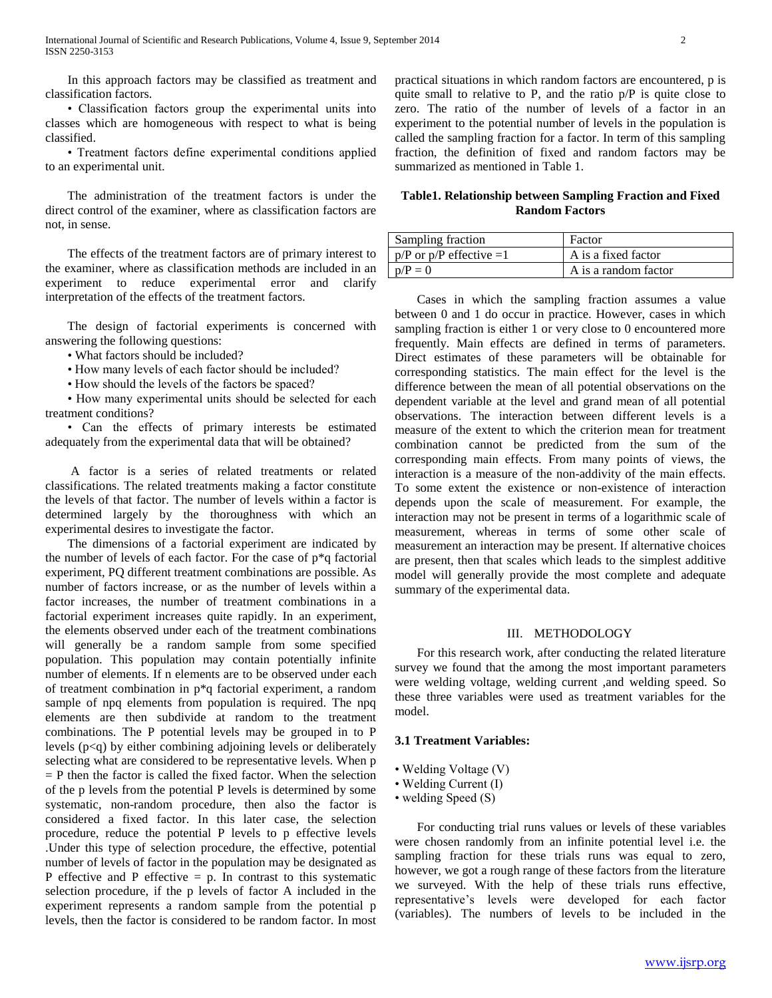In this approach factors may be classified as treatment and classification factors.

 • Classification factors group the experimental units into classes which are homogeneous with respect to what is being classified.

 • Treatment factors define experimental conditions applied to an experimental unit.

 The administration of the treatment factors is under the direct control of the examiner, where as classification factors are not, in sense.

 The effects of the treatment factors are of primary interest to the examiner, where as classification methods are included in an experiment to reduce experimental error and clarify interpretation of the effects of the treatment factors.

 The design of factorial experiments is concerned with answering the following questions:

• What factors should be included?

• How many levels of each factor should be included?

• How should the levels of the factors be spaced?

 • How many experimental units should be selected for each treatment conditions?

 • Can the effects of primary interests be estimated adequately from the experimental data that will be obtained?

 A factor is a series of related treatments or related classifications. The related treatments making a factor constitute the levels of that factor. The number of levels within a factor is determined largely by the thoroughness with which an experimental desires to investigate the factor.

 The dimensions of a factorial experiment are indicated by the number of levels of each factor. For the case of p\*q factorial experiment, PQ different treatment combinations are possible. As number of factors increase, or as the number of levels within a factor increases, the number of treatment combinations in a factorial experiment increases quite rapidly. In an experiment, the elements observed under each of the treatment combinations will generally be a random sample from some specified population. This population may contain potentially infinite number of elements. If n elements are to be observed under each of treatment combination in p\*q factorial experiment, a random sample of npq elements from population is required. The npq elements are then subdivide at random to the treatment combinations. The P potential levels may be grouped in to P levels (p<q) by either combining adjoining levels or deliberately selecting what are considered to be representative levels. When p  $=$  P then the factor is called the fixed factor. When the selection of the p levels from the potential P levels is determined by some systematic, non-random procedure, then also the factor is considered a fixed factor. In this later case, the selection procedure, reduce the potential P levels to p effective levels .Under this type of selection procedure, the effective, potential number of levels of factor in the population may be designated as P effective and P effective  $= p$ . In contrast to this systematic selection procedure, if the p levels of factor A included in the experiment represents a random sample from the potential p levels, then the factor is considered to be random factor. In most

practical situations in which random factors are encountered, p is quite small to relative to P, and the ratio  $p/P$  is quite close to zero. The ratio of the number of levels of a factor in an experiment to the potential number of levels in the population is called the sampling fraction for a factor. In term of this sampling fraction, the definition of fixed and random factors may be summarized as mentioned in Table 1.

#### **Table1. Relationship between Sampling Fraction and Fixed Random Factors**

| Sampling fraction             | Factor               |
|-------------------------------|----------------------|
| $p/P$ or $p/P$ effective $=1$ | A is a fixed factor  |
| $p/P = 0$                     | A is a random factor |

 Cases in which the sampling fraction assumes a value between 0 and 1 do occur in practice. However, cases in which sampling fraction is either 1 or very close to 0 encountered more frequently. Main effects are defined in terms of parameters. Direct estimates of these parameters will be obtainable for corresponding statistics. The main effect for the level is the difference between the mean of all potential observations on the dependent variable at the level and grand mean of all potential observations. The interaction between different levels is a measure of the extent to which the criterion mean for treatment combination cannot be predicted from the sum of the corresponding main effects. From many points of views, the interaction is a measure of the non-addivity of the main effects. To some extent the existence or non-existence of interaction depends upon the scale of measurement. For example, the interaction may not be present in terms of a logarithmic scale of measurement, whereas in terms of some other scale of measurement an interaction may be present. If alternative choices are present, then that scales which leads to the simplest additive model will generally provide the most complete and adequate summary of the experimental data.

#### III. METHODOLOGY

 For this research work, after conducting the related literature survey we found that the among the most important parameters were welding voltage, welding current ,and welding speed. So these three variables were used as treatment variables for the model.

#### **3.1 Treatment Variables:**

- Welding Voltage (V)
- Welding Current (I)
- welding Speed (S)

 For conducting trial runs values or levels of these variables were chosen randomly from an infinite potential level i.e. the sampling fraction for these trials runs was equal to zero, however, we got a rough range of these factors from the literature we surveyed. With the help of these trials runs effective, representative's levels were developed for each factor (variables). The numbers of levels to be included in the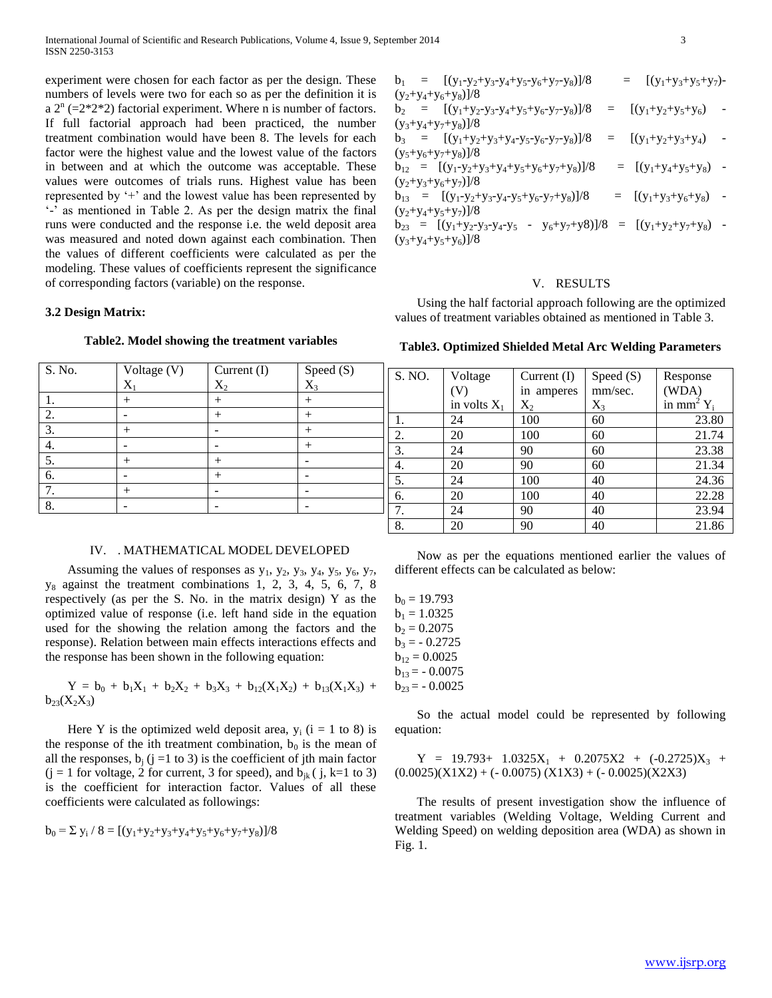experiment were chosen for each factor as per the design. These numbers of levels were two for each so as per the definition it is a  $2^{n}$  (=2\*2\*2) factorial experiment. Where n is number of factors. If full factorial approach had been practiced, the number treatment combination would have been 8. The levels for each factor were the highest value and the lowest value of the factors in between and at which the outcome was acceptable. These values were outcomes of trials runs. Highest value has been represented by '+' and the lowest value has been represented by '-' as mentioned in Table 2. As per the design matrix the final runs were conducted and the response i.e. the weld deposit area was measured and noted down against each combination. Then the values of different coefficients were calculated as per the modeling. These values of coefficients represent the significance of corresponding factors (variable) on the response.

#### **3.2 Design Matrix:**

| S. No. | Voltage (V)    | Current (I) | Speed $(S)$<br>$X_3$ |
|--------|----------------|-------------|----------------------|
|        | $X_1$          | $\rm X_2$   |                      |
|        | $\overline{ }$ | $^{+}$      |                      |
| 2.     |                | $+$         |                      |
| 3.     | $^+$           |             |                      |
| 4.     |                |             | $^{+}$               |
| 5.     | $^{+}$         | $^{+}$      |                      |
| 6.     |                | $^{+}$      |                      |
| $\tau$ | $^{+}$         |             |                      |
| 8.     |                |             |                      |

## **Table2. Model showing the treatment variables**

#### IV. . MATHEMATICAL MODEL DEVELOPED

Assuming the values of responses as  $y_1$ ,  $y_2$ ,  $y_3$ ,  $y_4$ ,  $y_5$ ,  $y_6$ ,  $y_7$ ,  $y_8$  against the treatment combinations 1, 2, 3, 4, 5, 6, 7, 8 respectively (as per the S. No. in the matrix design) Y as the optimized value of response (i.e. left hand side in the equation used for the showing the relation among the factors and the response). Relation between main effects interactions effects and the response has been shown in the following equation:

$$
Y = b_0 + b_1X_1 + b_2X_2 + b_3X_3 + b_{12}(X_1X_2) + b_{13}(X_1X_3) + b_{23}(X_2X_3)
$$

Here Y is the optimized weld deposit area,  $y_i$  (i = 1 to 8) is the response of the ith treatment combination,  $b_0$  is the mean of all the responses,  $b_i$  (j =1 to 3) is the coefficient of jth main factor  $(j = 1$  for voltage, 2 for current, 3 for speed), and  $b_{ik}$  ( $j$ , k=1 to 3) is the coefficient for interaction factor. Values of all these coefficients were calculated as followings:

$$
b_0 = \Sigma y_i / 8 = [(y_1+y_2+y_3+y_4+y_5+y_6+y_7+y_8)]/8
$$

| $b_1 = [(y_1-y_2+y_3-y_4+y_5-y_6+y_7-y_8)]/8$                             | $[(y_1+y_3+y_5+y_7)-$<br>$=$                                             |
|---------------------------------------------------------------------------|--------------------------------------------------------------------------|
| $(y_2+y_4+y_6+y_8)/8$                                                     |                                                                          |
| $b_2 = [(y_1+y_2-y_3-y_4+y_5+y_6-y_7-y_8)]/8$                             | $[(y_1+y_2+y_5+y_6)]$<br>$=$                                             |
| $(y_3+y_4+y_7+y_8)/8$                                                     |                                                                          |
| $b_3 = [(y_1+y_2+y_3+y_4-y_5-y_6-y_7-y_8)]/8$                             | $[(y_1+y_2+y_3+y_4)$ -<br>$=$                                            |
| $(y_5+y_6+y_7+y_8)/8$                                                     |                                                                          |
| $b_{12} = [(y_1-y_2+y_3+y_4+y_5+y_6+y_7+y_8)]/8$                          | $=$ $[(y_1+y_4+y_5+y_8)$ -                                               |
| $(y_2+y_3+y_6+y_7)/8$                                                     |                                                                          |
| $b_{13} = [(y_1-y_2+y_3-y_4-y_5+y_6-y_7+y_8)]/8$                          | $=$ [(y <sub>1</sub> +y <sub>3</sub> +y <sub>6</sub> +y <sub>8</sub> ) - |
| $(y_2+y_4+y_5+y_7)/8$                                                     |                                                                          |
| $b_{23} = [(y_1+y_2-y_3-y_4-y_5 - y_6+y_7+y_8)]/8 = [(y_1+y_2+y_7+y_8) -$ |                                                                          |
| $(y_3+y_4+y_5+y_6)/8$                                                     |                                                                          |

#### V. RESULTS

 Using the half factorial approach following are the optimized values of treatment variables obtained as mentioned in Table 3.

**Table3. Optimized Shielded Metal Arc Welding Parameters**

| S. NO. | Voltage        | Current $(I)$ | Speed (S) | Response                 |
|--------|----------------|---------------|-----------|--------------------------|
|        | V)             | in amperes    | mm/sec.   | (WDA)                    |
|        | in volts $X_1$ | $X_2$         | $X_3$     | in mm <sup>2</sup> $Y_i$ |
|        | 24             | 100           | 60        | 23.80                    |
| 2.     | 20             | 100           | 60        | 21.74                    |
| 3.     | 24             | 90            | 60        | 23.38                    |
| 4.     | 20             | 90            | 60        | 21.34                    |
| 5.     | 24             | 100           | 40        | 24.36                    |
| 6.     | 20             | 100           | 40        | 22.28                    |
| 7.     | 24             | 90            | 40        | 23.94                    |
| 8.     | 20             | 90            | 40        | 21.86                    |

 Now as per the equations mentioned earlier the values of different effects can be calculated as below:

 $b_0 = 19.793$  $b_1 = 1.0325$  $b_2 = 0.2075$  $b_3 = -0.2725$  $b_{12} = 0.0025$  $b_{13} = -0.0075$  $b_{23} = -0.0025$ 

 So the actual model could be represented by following equation:

 $Y = 19.793+ 1.0325X_1 + 0.2075X_2 + (-0.2725)X_3 +$  $(0.0025)(X1X2) + (-0.0075)(X1X3) + (-0.0025)(X2X3)$ 

 The results of present investigation show the influence of treatment variables (Welding Voltage, Welding Current and Welding Speed) on welding deposition area (WDA) as shown in Fig. 1.